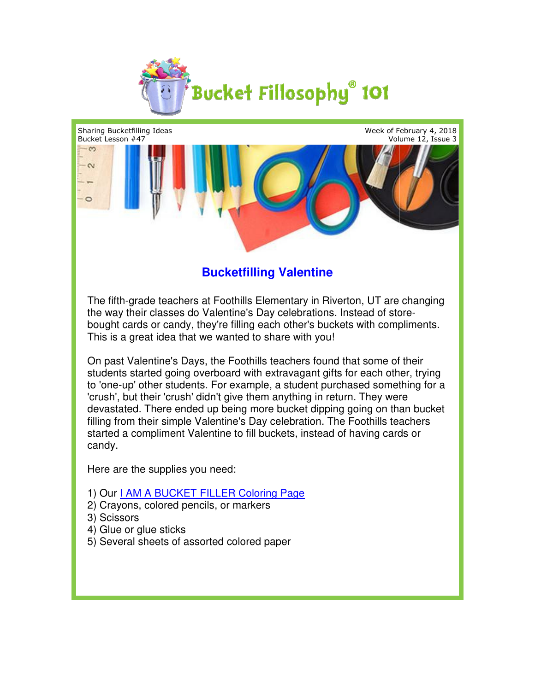



## **Bucketfilling Valentine**

The fifth-grade teachers at Foothills Elementary in Riverton, UT are changing The fifth-grade teachers at Foothills Elementary in Riverton, UT are cha<br>the way their classes do Valentine's Day celebrations. Instead of store-The fifth-grade teachers at Foothills Elementary in Riverton, UT are changing<br>the way their classes do Valentine's Day celebrations. Instead of store-<br>bought cards or candy, they're filling each other's buckets with compli This is a great idea that we wanted to share with you!

On past Valentine's Days, the Foothills teachers found that some of their students started going overboard with extravagant gifts for each other, trying to 'one-up' other students. For example, a student purchased something for a 'crush', but their 'crush' didn't give them anything in return. They were devastated. There ended up being more bucket dipping going on than bucket filling from their simple Valentine's Day celebration. The Foothills teachers started a compliment Valentine to fill buckets, instead of having cards or candy. started a compliment Valentine to fill buckets, in<br>candy.<br>Here are the supplies you need:<br>1) Our <u>I AM A BUCKET FILLER Coloring Page</u> On past Valentine's Days, the Foothills teachers found that some of their<br>students started going overboard with extravagant gifts for each other, tryir<br>to 'one-up' other students. For example, a student purchased something udents. For example, a student purchased som<br>
ush' didn't give them anything in return. They w<br>
ended up being more bucket dipping going on<br>
nple Valentine's Day celebration. The Foothills

Here are the supplies you need:

- 
- 2) Crayons, colored pencils, or markers markers
- 3) Scissors
- 4) Glue or glue sticks
- 5) Several sheets of assorted colored paper